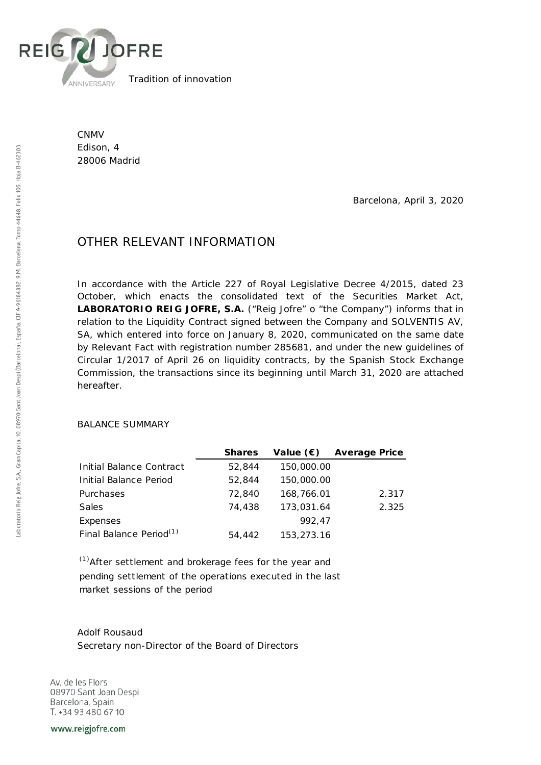

Tradition of innovation

CNMV Edison, 4 28006 Madrid

Barcelona, April 3, 2020

## OTHER RELEVANT INFORMATION

In accordance with the Article 227 of Royal Legislative Decree 4/2015, dated 23 October, which enacts the consolidated text of the Securities Market Act, **LABORATORIO REIG JOFRE, S.A.** ("Reig Jofre" o "the Company") informs that in relation to the Liquidity Contract signed between the Company and SOLVENTIS AV, SA, which entered into force on January 8, 2020, communicated on the same date by Relevant Fact with registration number 285681, and under the new guidelines of Circular 1/2017 of April 26 on liquidity contracts, by the Spanish Stock Exchange Commission, the transactions since its beginning until March 31, 2020 are attached hereafter.

## BALANCE SUMMARY

|                                     | <b>Shares</b> | Value $(\epsilon)$ | <b>Average Price</b> |
|-------------------------------------|---------------|--------------------|----------------------|
| Initial Balance Contract            | 52,844        | 150,000.00         |                      |
| Initial Balance Period              | 52,844        | 150,000.00         |                      |
| Purchases                           | 72,840        | 168,766.01         | 2.317                |
| <b>Sales</b>                        | 74,438        | 173,031.64         | 2.325                |
| Expenses                            |               | 992.47             |                      |
| Final Balance Period <sup>(1)</sup> | 54,442        | 153,273.16         |                      |

 $<sup>(1)</sup>$ After settlement and brokerage fees for the year and</sup> pending settlement of the operations executed in the last market sessions of the period

Adolf Rousaud Secretary non-Director of the Board of Directors

Av. de les Flors 08970 Sant Joan Despi Barcelona, Spain T. +34 93 480 67 10

www.reigjofre.com